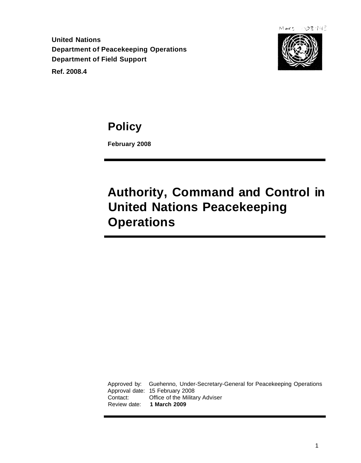$Mars 003442$ 

**United Nations Department of Peacekeeping Operations Department of Field Support**

**Ref. 2008.4**



**Policy**

**February 2008**

**Authority, Command and Control in United Nations Peacekeeping Operations**

Approved by: Guehenno, Under-Secretary-General for Peacekeeping Operations Approval date: 15 February 2008 Contact: Office of the Military Adviser Review date: **1 March 2009**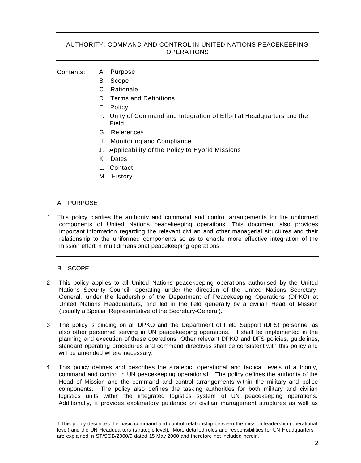# AUTHORITY, COMMAND AND CONTROL IN UNITED NATIONS PEACEKEEPING **OPERATIONS**

#### Contents: A. Purpose

- B. Scope
- C. Rationale
- D. Terms and Definitions
- E. Policy
- F. Unity of Command and Integration of Effort at Headquarters and the Field
- G. References
- H. Monitoring and Compliance
- J. Applicability of the Policy to Hybrid Missions
- K. Dates
- L. Contact
- M. History

## A. PURPOSE

1 This policy clarifies the authority and command and control arrangements for the uniformed components of United Nations peacekeeping operations. This document also provides important information regarding the relevant civilian and other managerial structures and their relationship to the uniformed components so as to enable more effective integration of the mission effort in multidimensional peacekeeping operations.

## B. SCOPE

- 2 This policy applies to all United Nations peacekeeping operations authorised by the United Nations Security Council, operating under the direction of the United Nations Secretary-General, under the leadership of the Department of Peacekeeping Operations (DPKO) at United Nations Headquarters, and led in the field generally by a civilian Head of Mission (usually a Special Representative of the Secretary-General).
- 3 The policy is binding on all DPKO and the Department of Field Support (DFS) personnel as also other personnel serving in UN peacekeeping operations. It shall be implemented in the planning and execution of these operations. Other relevant DPKO and DFS policies, guidelines, standard operating procedures and command directives shall be consistent with this policy and will be amended where necessary.
- 4 This policy defines and describes the strategic, operational and tactical levels of authority, command and control in UN peacekeeping operations1. The policy defines the authority of the Head of Mission and the command and control arrangements within the military and police components. The policy also defines the tasking authorities for both military and civilian logistics units within the integrated logistics system of UN peacekeeping operations. Additionally, it provides explanatory guidance on civilian management structures as well as

<sup>1</sup>This policy describes the basic command and control relationship between the mission leadership (operational level) and the UN Headquarters (strategic level). More detailed roles and responsibilities for UN Headquarters are explained in ST/SGB/2000/9 dated 15 May 2000 and therefore not included herein.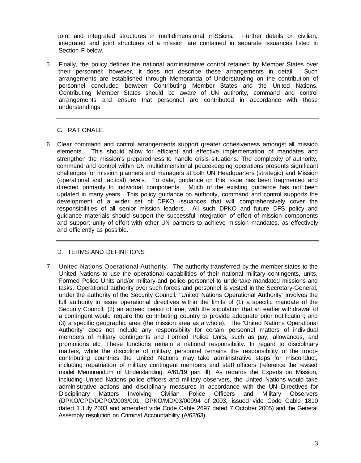joint and integrated structures in multidimensional miSSions. Further details on civilian, integrated and joint structures of a mission are contained in separate issuances listed in Section F below.

5 Finally, the policy defines the national administrative control retained by Member States over their personnel; however, it does not describe these arrangements in detail. Such arrangements are established through Memoranda of Understanding on the contribution of personnel concluded between Contributing Member States and the United Nations. Contributing Member States should be aware of UN authority, command and control arrangements and ensure that personnel are contributed in accordance with those understandings.

## c. RATIONALE

6 Clear command and control arrangements support greater cohesiveness amongst all mission elements. This should allow for efficient and effective implementation of mandates and strengthen the mission's preparedness to handle crisis situations. The complexity of authority, command and control within UN multidimensional peacekeeping operations presents significant challenges for mission planners and managers at both UN Headquarters (strategic) and Mission (operational and tactical) levels. To date, guidance on this issue has been fragmented and directed primarily to individual components. Much of the existing guidance has not been updated in many years. This policy guidance on authority, command and control supports the development of a wider set of DPKO issuances that will comprehensively cover the responsibilities of all senior mission leaders. All such DPKO and future DFS policy and guidance materials should support the successful integration of effort of mission components and support unity of effort with other UN partners to achieve mission mandates, as effectively and efficiently as possible.

## D. TERMS AND DEFINITIONS

7 United Nations Operational Authority. The authority transferred by the member states to the United Nations to use the operational capabilities of their national military contingents, units, Formed Police Units and/or military and police personnel to undertake mandated missions and tasks. Operational authority over such forces and personnel is vested in the Secretary-General, under the authority of the Security Council. "United Nations Operational Authority' involves the full authority to issue operational directives within the limits of (1) a specific mandate of the Security Council; (2) an agreed period of time, with the stipulation that an earlier withdrawal of a contingent would require the contributing country to provide adequate prior notification; and (3) a specific geographic area (the mission area as a whole). The 'United Nations Operational Authority' does not include any responsibility for certain personnel matters of individual members of military contingents and Formed Police Units, such as pay, allowances, and promotions etc. These functions remain a national responsibility. In regard to disciplinary matters, while the discipline of military personnel remains the responsibility of the troopcontributing countries the United Nations may take administrative steps for misconduct, including repatriation of military contingent members and staff officers (reference the revised model Memorandum of Understanding, A/61/19 part Ill). As regards the Experts on Mission, including United Nations police officers and military observers, the United Nations would take administrative actions and disciplinary measures in accordance with the UN Directives for Disciplinary Matters Involving Civilian Police Officers and Military Observers (DPKO/CPD/DCPO/2003/001, DPKO/MD/03/00994 of 2003, issued vide Code Cable 1810 dated 1 July 2003 and amended vide Code Cable 2697 dated 7 October 2005) and the General Assembly resolution on Criminal Accountability (A/62/63).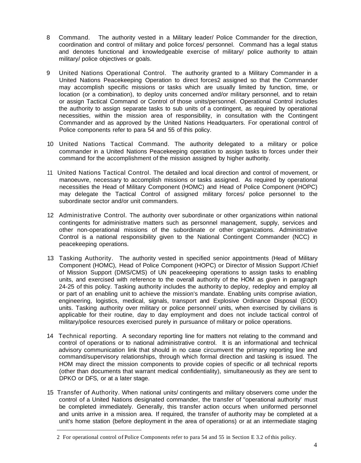- 8 Command. The authority vested in a Military leader/ Police Commander for the direction, coordination and control of military and police forces/ personnel. Command has a legal status and denotes functional and knowledgeable exercise of military/ police authority to attain military/ police objectives or goals.
- 9 United Nations Operational Control. The authority granted to a Military Commander in a United Nations Peacekeeping Operation to direct forces2 assigned so that the Commander may accomplish specific missions or tasks which are usually limited by function, time, or location (or a combination), to deploy units concerned and/or military personnel, and to retain or assign Tactical Command or Control of those units/personnel. Operational Control includes the authority to assign separate tasks to sub units of a contingent, as required by operational necessities, within the mission area of responsibility, in consultation with the Contingent Commander and as approved by the United Nations Headquarters. For operational control of Police components refer to para 54 and 55 of this policy.
- 10 United Nations Tactical Command. The authority delegated to a military or police commander in a United Nations Peacekeeping operation to assign tasks to forces under their command for the accomplishment of the mission assigned by higher authority.
- 11 United Nations Tactical Control. The detailed and local direction and control of movement, or manoeuvre, necessary to accomplish missions or tasks assigned. As required by operational necessities the Head of Military Component (HOMC) and Head of Police Component (HOPC) may delegate the Tactical Control of assigned military forces/ police personnel to the subordinate sector and/or unit commanders.
- 12 Administrative Control. The authority over subordinate or other organizations within national contingents for administrative matters such as personnel management, supply, services and other non-operational missions of the subordinate or other organizations. Administrative Control is a national responsibility given to the National Contingent Commander (NCC) in peacekeeping operations.
- 13 Tasking Authority. The authority vested in specified senior appointments (Head of Military Component (HOMC), Head of Police Component (HOPC) or Director of Mission Support /Chief of Mission Support (DMS/CMS) of UN peacekeeping operations to assign tasks to enabling units, and exercised with reference to the overall authority of the HOM as given in paragraph 24-25 of this policy. Tasking authority includes the authority to deploy, redeploy and employ all or part of an enabling unit to achieve the mission's mandate. Enabling units comprise aviation, engineering, logistics, medical, signals, transport and Explosive Ordinance Disposal (EOD) units. Tasking authority over military or police personnel/ units, when exercised by civilians is applicable for their routine, day to day employment and does not include tactical control of military/police resources exercised purely in pursuance of military or police operations.
- 14 Technical reporting. A secondary reporting line for matters not relating to the command and control of operations or to national administrative control. It is an informational and technical advisory communication link that should in no case circumvent the primary reporting line and command/supervisory relationships, through which formal direction and tasking is issued. The HOM may direct the mission components to provide copies of specific or all technical reports (other than documents that warrant medical confidentiality), simultaneously as they are sent to DPKO or DFS, or at a later stage.
- 15 Transfer of Authority. When national units/ contingents and military observers come under the control of a United Nations designated commander, the transfer of "operational authority' must be completed immediately. Generally, this transfer action occurs when uniformed personnel and units arrive in a mission area. If required, the transfer of authority may be completed at a unit's home station (before deployment in the area of operations) or at an intermediate staging

<sup>2</sup> For operational control of Police Components refer to para 54 and 55 in Section E 3.2 ofthis policy.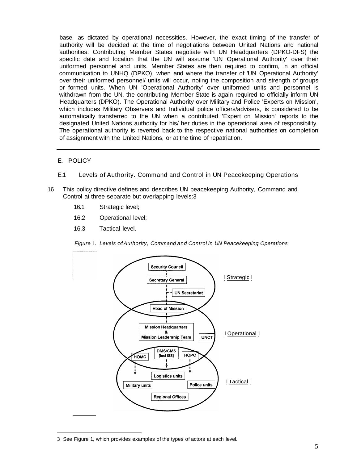base, as dictated by operational necessities. However, the exact timing of the transfer of authority will be decided at the time of negotiations between United Nations and national authorities. Contributing Member States negotiate with UN Headquarters (DPKO-DFS) the specific date and location that the UN will assume 'UN Operational Authority' over their uniformed personnel and units. Member States are then required to confirm, in an official communication to UNHQ (DPKO), when and where the transfer of 'UN Operational Authority' over their uniformed personnel/ units will occur, noting the composition and strength of groups or formed units. When UN 'Operational Authority' over uniformed units and personnel is withdrawn from the UN, the contributing Member State is again required to officially inform UN Headquarters (DPKO). The Operational Authority over Military and Police 'Experts on Mission', which includes Military Observers and Individual police officers/advisers, is considered to be automatically transferred to the UN when a contributed 'Expert on Mission' reports to the designated United Nations authority for his/ her duties in the operational area of responsibility. The operational authority is reverted back to the respective national authorities on completion of assignment with the United Nations, or at the time of repatriation.

- E. POLICY
- E.1 Levels of Authority. Command and Control in UN Peacekeeping Operations
- 16 This policy directive defines and describes UN peacekeeping Authority, Command and Control at three separate but overlapping levels:3
	- 16.1 Strategic level;
	- 16.2 Operational level;
	- 16.3 Tactical level.

Figure 1. Levels of Authority, Command and Control in UN Peacekeeping Operations



<sup>3</sup> See Figure 1, which provides examples of the types of actors at each level.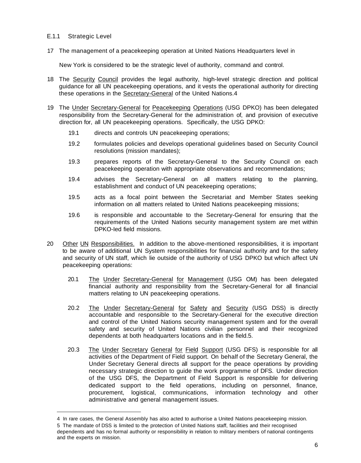## E.1.1 Strategic Level

17 The management of a peacekeeping operation at United Nations Headquarters level in

New York is considered to be the strategic level of authority, command and control.

- 18 The Security Council provides the legal authority, high-level strategic direction and political guidance for all UN peacekeeping operations, and it vests the operational authority for directing these operations in the Secretary-General of the United Nations.4
- 19 The Under Secretary-General for Peacekeeping Operations (USG DPKO) has been delegated responsibility from the Secretary-General for the administration of, and provision of executive direction for, all UN peacekeeping operations. Specifically, the USG DPKO:
	- 19.1 directs and controls UN peacekeeping operations;
	- 19.2 formulates policies and develops operational guidelines based on Security Council resolutions (mission mandates);
	- 19.3 prepares reports of the Secretary-General to the Security Council on each peacekeeping operation with appropriate observations and recommendations;
	- 19.4 advises the Secretary-General on all matters relating to the planning, establishment and conduct of UN peacekeeping operations;
	- 19.5 acts as a focal point between the Secretariat and Member States seeking information on all matters related to United Nations peacekeeping missions;
	- 19.6 is responsible and accountable to the Secretary-General for ensuring that the requirements of the United Nations security management system are met within DPKO-Ied field missions.
- 20 Other UN Responsibilities. In addition to the above-mentioned responsibilities, it is important to be aware of additional UN System responsibilities for financial authority and for the safety and security of UN staff, which lie outside of the authority of USG DPKO but which affect UN peacekeeping operations:
	- 20.1 The Under Secretary-General for Management (USG OM) has been delegated financial authority and responsibility from the Secretary-General for all financial matters relating to UN peacekeeping operations.
	- 20.2 The Under Secretary-General for Safety and Security (USG DSS) is directly accountable and responsible to the Secretary-General for the executive direction and control of the United Nations security management system and for the overall safety and security of United Nations civilian personnel and their recognized dependents at both headquarters locations and in the field.5.
	- 20.3 The Under Secretary General for Field Support (USG DFS) is responsible for all activities of the Department of Field support. On behalf of the Secretary General, the Under Secretary General directs all support for the peace operations by providing necessary strategic direction to guide the work programme of DFS. Under direction of the USG DFS, the Department of Field Support is responsible for delivering dedicated support to the field operations, including on personnel, finance, procurement, logistical, communications, information technology and other administrative and general management issues.

<sup>4</sup> In rare cases, the General Assembly has also acted to authorise a United Nations peacekeeping mission.

<sup>5</sup> The mandate of DSS is limited to the protection of United Nations staff, facilities and their recognised dependents and has no formal authority or responsibility in relation to military members of national contingents and the experts on mission.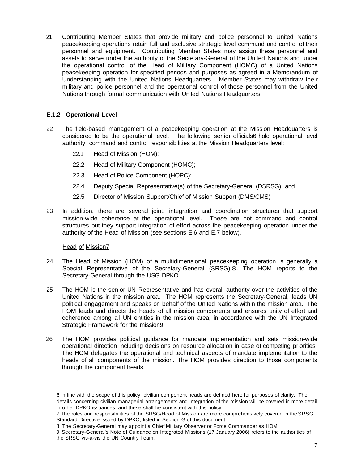21 Contributing Member States that provide military and police personnel to United Nations peacekeeping operations retain full and exclusive strategic level command and control of their personnel and equipment. Contributing Member States may assign these personnel and assets to serve under the authority of the Secretary-General of the United Nations and under the operational control of the Head of Military Component (HOMC) of a United Nations peacekeeping operation for specified periods and purposes as agreed in a Memorandum of Understanding with the United Nations Headquarters. Member States may withdraw their military and police personnel and the operational control of those personnel from the United Nations through formal communication with United Nations Headquarters.

# **E.1.2 Operational Level**

- 22 The field-based management of a peacekeeping operation at the Mission Headquarters is considered to be the operational level. The following senior officials6 hold operational level authority, command and control responsibilities at the Mission Headquarters level:
	- 22.1 Head of Mission (HOM);
	- 22.2 Head of Military Component (HOMC);
	- 22.3 Head of Police Component (HOPC);
	- 22.4 Deputy Special Representative(s) of the Secretary-General (DSRSG); and
	- 22.5 Director of Mission Support/Chief of Mission Support (DMS/CMS)
- 23 In addition, there are several joint, integration and coordination structures that support mission-wide coherence at the operational level. These are not command and control structures but they support integration of effort across the peacekeeping operation under the authority of the Head of Mission (see sections E.6 and E.7 below).

## Head of Mission7

- 24 The Head of Mission (HOM) of a multidimensional peacekeeping operation is generally a Special Representative of the Secretary-General (SRSG) 8. The HOM reports to the Secretary-General through the USG DPKO.
- 25 The HOM is the senior UN Representative and has overall authority over the activities of the United Nations in the mission area. The HOM represents the Secretary-General, leads UN political engagement and speaks on behalf of the United Nations within the mission area. The HOM leads and directs the heads of all mission components and ensures unity of effort and coherence among all UN entities in the mission area, in accordance with the UN Integrated Strategic Framework for the mission9.
- 26 The HOM provides political guidance for mandate implementation and sets mission-wide operational direction including decisions on resource allocation in case of competing priorities. The HOM delegates the operational and technical aspects of mandate implementation to the heads of all components of the mission. The HOM provides direction to those components through the component heads.

<sup>6</sup> In line with the scope of this policy, civilian component heads are defined here for purposes of clarity. The details concerning civilian managerial arrangements and integration of the mission will be covered in more detail in other DPKO issuances, and these shall be consistent with this policy.

<sup>7</sup> The roles and responsibilities of the SRSG/Head of Mission are more comprehensively covered in the SRSG Standard Directive issued by DPKO, listed in Section G of this document.

<sup>8</sup> The Secretary-General may appoint a Chief Military Observer or Force Commander as HOM.

<sup>9</sup> Secretary-General's Note of Guidance on Integrated Missions (17 January 2006) refers to the authorities of the SRSG vis-a-vis the UN Country Team.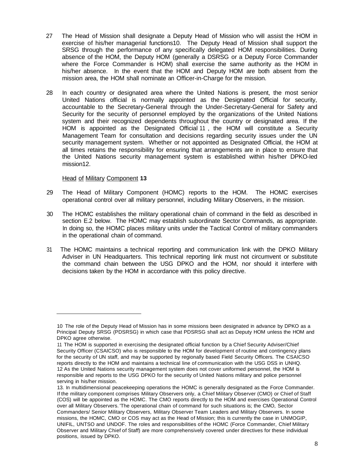- 27 The Head of Mission shall designate a Deputy Head of Mission who will assist the HOM in exercise of his/her managerial functions10. The Deputy Head of Mission shall support the SRSG through the performance of any specifically delegated HOM responsibilities. During absence of the HOM, the Deputy HOM (generally a DSRSG or a Deputy Force Commander where the Force Commander is HOM) shall exercise the same authority as the HOM in his/her absence. In the event that the HOM and Deputy HOM are both absent from the mission area, the HOM shall nominate an Officer-in-Charge for the mission.
- 28 In each country or designated area where the United Nations is present, the most senior United Nations official is normally appointed as the Designated Official for security, accountable to the Secretary-General through the Under-Secretary-General for Safety and Security for the security of personnel employed by the organizations of the United Nations system and their recognized dependents throughout the country or designated area. If the HOM is appointed as the Designated Official 11 , the HOM will constitute a Security Management Team for consultation and decisions regarding security issues under the UN security management system. Whether or not appointed as Designated Official, the HOM at all times retains the responsibility for ensuring that arrangements are in place to ensure that the United Nations security management system is established within his/her DPKO-Ied mission12.

### Head of Military Component **13**

- 29 The Head of Military Component (HOMC) reports to the HOM. The HOMC exercises operational control over all military personnel, including Military Observers, in the mission.
- 30 The HOMC establishes the military operational chain of command in the field as described in section E.2 below. The HOMC may establish subordinate Sector Commands, as appropriate. In doing so, the HOMC places military units under the Tactical Control of military commanders in the operational chain of command.
- 31 The HOMC maintains a technical reporting and communication link with the DPKO Military Adviser in UN Headquarters. This technical reporting link must not circumvent or substitute the command chain between the USG DPKO and the HOM, nor should it interfere with decisions taken by the HOM in accordance with this policy directive.

<sup>10</sup> The role of the Deputy Head of Mission has in some missions been designated in advance by DPKO as a Principal Deputy SRSG (PDSRSG) in which case that PDSRSG shall act as Deputy HOM unless the HOM and DPKO agree otherwise.

<sup>11</sup> The HOM is supported in exercising the designated official function by a Chief Security Adviser/Chief Security Officer (CSAICSO) who is responsible to the HOM for development of routine and contingency plans for the security of UN staff, and may be supported by regionally based Field Security Officers. The CSAlCSO reports directly to the HOM and maintains a technical line of communication with the USG DSS in UNHQ. 12 As the United Nations security management system does not cover uniformed personnel, the HOM is responsible and reports to the USG DPKO for the security of United Nations military and police personnel serving in his/her mission.

<sup>13.</sup> In multidimensional peacekeeping operations the HOMC is generally designated as the Force Commander. If the military component comprises Military Observers only, a Chief Military Observer (CMO) or Chief of Staff (COS) will be appointed as the HOMC. The CMO reports directly to the HOM and exercises Operational Control over all Military Observers. 'The operational chain of command for such situations is; the CMO, Sector Commanders/ Senior Military Observers, Military Observer Team Leaders and Military Observers. In some missions, the HOMC, CMO or COS may act as the Head of Mission; this is currently the case in UNMOGIP, UNIFIL, UNTSO and UNDOF. The roles and responsibilities of the HOMC (Force Commander, Chief Military Observer and Military Chief of Staff) are more comprehensively covered under directives for these individual positions, issued by DPKO.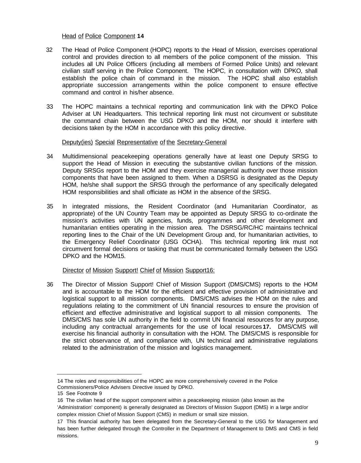## Head of Police Component **14**

- 32 The Head of Police Component (HOPC) reports to the Head of Mission, exercises operational control and provides direction to all members of the police component of the mission. This includes all UN Police Officers (including all members of Formed Police Units) and relevant civilian staff serving in the Police Component. The HOPC, in consultation with DPKO, shall establish the police chain of command in the mission. The HOPC shall also establish appropriate succession arrangements within the police component to ensure effective command and control in his/her absence.
- 33 The HOPC maintains a technical reporting and communication link with the DPKO Police Adviser at UN Headquarters. This technical reporting link must not circumvent or substitute the command chain between the USG DPKO and the HOM, nor should it interfere with decisions taken by the HOM in accordance with this policy directive.

## Deputy(ies) Special Representative of the Secretary-General

- 34 Multidimensional peacekeeping operations generally have at least one Deputy SRSG to support the Head of Mission in executing the substantive civilian functions of the mission. Deputy SRSGs report to the HOM and they exercise managerial authority over those mission components that have been assigned to them. When a DSRSG is designated as the Deputy HOM, he/she shall support the SRSG through the performance of any specifically delegated HOM responsibilities and shall officiate as HOM in the absence of the SRSG.
- 35 In integrated missions, the Resident Coordinator (and Humanitarian Coordinator, as appropriate) of the UN Country Team may be appointed as Deputy SRSG to co-ordinate the mission's activities with UN agencies, funds, programmes and other development and humanitarian entities operating in the mission area. The DSRSG/RC/HC maintains technical reporting lines to the Chair of the UN Development Group and, for humanitarian activities, to the Emergency Relief Coordinator (USG OCHA). This technical reporting link must not circumvent formal decisions or tasking that must be communicated formally between the USG DPKO and the HOM15.

## Director of Mission Support! Chief of Mission Support16:

36 The Director of Mission Support! Chief of Mission Support (DMS/CMS) reports to the HOM and is accountable to the HOM for the efficient and effective provision of administrative and logistical support to all mission components. DMS/CMS advises the HOM on the rules and regulations relating to the commitment of UN financial resources to ensure the provision of efficient and effective administrative and logistical support to all mission components. The DMS/CMS has sole UN authority in the field to commit UN financial resources for any purpose, including any contractual arrangements for the use of local resources **17.** DMS/CMS will exercise his financial authority in consultation with the HOM. The DMS/CMS is responsible for the strict observance of, and compliance with, UN technical and administrative regulations related to the administration of the mission and logistics management.

<sup>14</sup> The roles and responsibilities of the HOPC are more comprehensively covered in the Police Commissioners/Police Advisers Directive issued by DPKO.

<sup>15</sup> See Footnote 9

<sup>16</sup> The civilian head of the support component within a peacekeeping mission (also known as the 'Administration' component) is generally designated as Directors of Mission Support (DMS) in a large and/or complex mission Chief of Mission Support (CMS) in medium or small size mission.

<sup>17</sup> This financial authority has been delegated from the Secretary-General to the USG for Management and has been further delegated through the Controller in the Department of Management to DMS and CMS in field missions.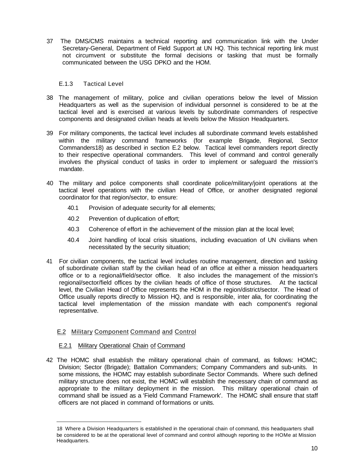37 The DMS/CMS maintains a technical reporting and communication link with the Under Secretary-General, Department of Field Support at UN HQ. This technical reporting link must not circumvent or substitute the formal decisions or tasking that must be formally communicated between the USG DPKO and the HOM.

## E.1.3 Tactical Level

- 38 The management of military, police and civilian operations below the level of Mission Headquarters as well as the supervision of individual personnel is considered to be at the tactical level and is exercised at various levels by subordinate commanders of respective components and designated civilian heads at levels below the Mission Headquarters.
- 39 For military components, the tactical level includes all subordinate command levels established within the military command frameworks (for example Brigade, Regional, Sector Commanders18) as described in section E.2 below. Tactical level commanders report directly to their respective operational commanders. This level of command and control generally involves the physical conduct of tasks in order to implement or safeguard the mission's mandate.
- 40 The military and police components shall coordinate police/military/joint operations at the tactical level operations with the civilian Head of Office, or another designated regional coordinator for that region/sector, to ensure:
	- 40.1 Provision of adequate security for all elements;
	- 40.2 Prevention of duplication of effort;
	- 40.3 Coherence of effort in the achievement of the mission plan at the local level;
	- 40.4 Joint handling of local crisis situations, including evacuation of UN civilians when necessitated by the security situation;
- 41 For civilian components, the tactical level includes routine management, direction and tasking of subordinate civilian staff by the civilian head of an office at either a mission headquarters office or to a regional/field/sector office. It also includes the management of the mission's regional/sector/field offices by the civilian heads of office of those structures. At the tactical level, the Civilian Head of Office represents the HOM in the region/district/sector. The Head of Office usually reports directly to Mission HQ, and is responsible, inter alia, for coordinating the tactical level implementation of the mission mandate with each component's regional representative.

# E.2 Military Component Command and Control

## E.2.1 Military Operational Chain of Command

42 The HOMC shall establish the military operational chain of command, as follows: HOMC; Division; Sector (Brigade); Battalion Commanders; Company Commanders and sub-units. In some missions, the HOMC may establish subordinate Sector Commands. Where such defined military structure does not exist, the HOMC will establish the necessary chain of command as appropriate to the military deployment in the mission. This military operational chain of command shall be issued as a 'Field Command Framework'. The HOMC shall ensure that staff officers are not placed in command of formations or units.

<sup>18</sup> Where a Division Headquarters is established in the operational chain of command, this headquarters shall be considered to be at the operational level of command and control although reporting to the HOMe at Mission Headquarters.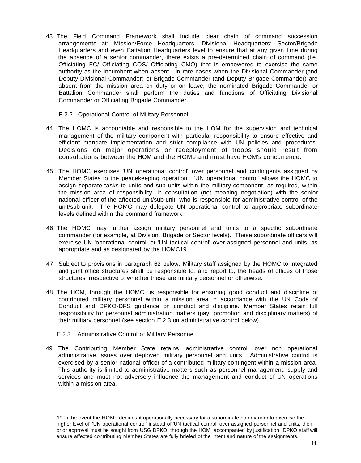43 The Field Command Framework shall include clear chain of command succession arrangements at: Mission/Force Headquarters; Divisional Headquarters; Sector/Brigade Headquarters and even Battalion Headquarters level to ensure that at any given time during the absence of a senior commander, there exists a pre-determined chain of command (i.e. Officiating FC/ Officiating COS/ Officiating CMO) that is empowered to exercise the same authority as the incumbent when absent. In rare cases when the Divisional Commander (and Deputy Divisional Commander) or Brigade Commander (and Deputy Brigade Commander) are absent from the mission area on duty or on leave, the nominated Brigade Commander or Battalion Commander shall perform the duties and functions of Officiating Divisional Commander or Officiating Brigade Commander.

## E.2.2 Operational Control of Military Personnel

- 44 The HOMC is accountable and responsible to the HOM for the supervision and technical management of the military component with particular responsibility to ensure effective and efficient mandate implementation and strict compliance with UN policies and procedures. Decisions on major operations or redeployment of troops should result from consultations between the HOM and the HOMe and must have HOM's concurrence.
- 45 The HOMC exercises 'UN operational control' over personnel and contingents assigned by Member States to the peacekeeping operation. 'UN operational control' allows the HOMC to assign separate tasks to units and sub units within the military component, as required, within the mission area of responsibility, in consultation (not meaning negotiation) with the senior national officer of the affected unit/sub-unit, who is responsible for administrative control of the unit/sub-unit. The HOMC may delegate UN operational control to appropriate subordinate· levels defined within the command framework.
- 46 The HOMC may further assign military personnel and units to a specific subordinate commander (for example, at Division, Brigade or Sector levels). These subordinate officers will exercise UN 'operational control' or 'UN tactical control' over assigned personnel and units, as appropriate and as designated by the HOMC19.
- 47 Subject to provisions in paragraph 62 below, Military staff assigned by the HOMC to integrated and joint office structures shall be responsible to, and report to, the heads of offices of those structures irrespective of whether these are military personnel or otherwise.
- 48 The HOM, through the HOMC, is responsible for ensuring good conduct and discipline of contributed military personnel within a mission area in accordance with the UN Code of Conduct and DPKO-DFS guidance on conduct and discipline. Member States retain full responsibility for personnel administration matters (pay, promotion and disciplinary matters) of their military personnel (see section E.2.3 on administrative control below).

## E.2.3 Administrative Control of Military Personnel

49 The Contributing Member State retains 'administrative control' over non operational administrative issues over deployed military personnel and units. Administrative control is exercised by a senior national officer of a contributed military contingent within a mission area. This authority is limited to administrative matters such as personnel management, supply and services and must not adversely influence the management and conduct of UN operations within a mission area.

<sup>19</sup> In the event the HOMe decides it operationally necessary for a subordinate commander to exercise the higher level of 'UN operational control' instead of 'UN tactical control' over assigned personnel and units, then prior approval must be sought from USG DPKO, through the HOM, accompanied by justification. DPKO staff will ensure affected contributing Member States are fully briefed of the intent and nature of the assignments.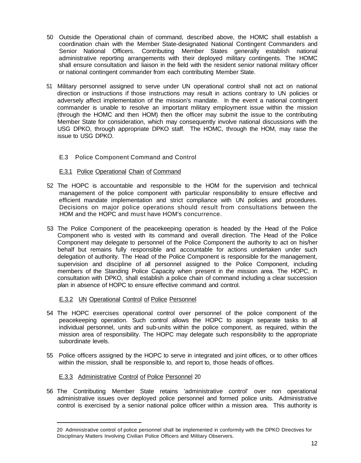- 50 Outside the Operational chain of command, described above, the HOMC shall establish a coordination chain with the Member State-designated National Contingent Commanders and Senior National Officers. Contributing Member States generally establish national administrative reporting arrangements with their deployed military contingents. The HOMC shall ensure consultation and liaison in the field with the resident senior national military officer or national contingent commander from each contributing Member State.
- 51 Military personnel assigned to serve under UN operational control shall not act on national direction or instructions if those instructions may result in actions contrary to UN policies or adversely affect implementation of the mission's mandate. In the event a national contingent commander is unable to resolve an important military employment issue within the mission (through the HOMC and then HOM) then the officer may submit the issue to the contributing Member State for consideration, which may consequently involve national discussions with the USG DPKO, through appropriate DPKO staff. The HOMC, through the HOM, may raise the issue to USG DPKO.

# E.3 Police Component Command and Control

## E.3.1 Police Operational Chain of Command

- 52 The HOPC is accountable and responsible to the HOM for the supervision and technical management of the police component with particular responsibility to ensure effective and efficient mandate implementation and strict compliance with UN policies and procedures. Decisions on major police operations should result from consultations between the HOM and the HOPC and must have HOM's concurrence.
- 53 The Police Component of the peacekeeping operation is headed by the Head of the Police Component who is vested with its command and overall direction. The Head of the Police Component may delegate to personnel of the Police Component the authority to act on his/her behalf but remains fully responsible and accountable for actions undertaken under such delegation of authority. The Head of the Police Component is responsible for the management, supervision and discipline of all personnel assigned to the Police Component, including members of the Standing Police Capacity when present in the mission area. The HOPC, in consultation with DPKO, shall establish a police chain of command including a clear succession plan in absence of HOPC to ensure effective command and control.

## E.3.2 UN Operational Control of Police Personnel

- 54 The HOPC exercises operational control over personnel of the police component of the peacekeeping operation. Such control allows the HOPC to assign separate tasks to all individual personnel, units and sub-units within the police component, as required, within the mission area of responsibility. The HOPC may delegate such responsibility to the appropriate subordinate levels.
- 55 Police officers assigned by the HOPC to serve in integrated and joint offices, or to other offices within the mission, shall be responsible to, and report to, those heads of offices.

# E.3.3 Administrative Control of Police Personnel 20

56 The Contributing Member State retains 'administrative control' over non operational administrative issues over deployed police personnel and formed police units. Administrative control is exercised by a senior national police officer within a mission area. This authority is

<sup>20</sup> Administrative control of police personnel shall be implemented in conformity with the DPKO Directives for Disciplinary Matters Involving Civilian Police Officers and Military Observers.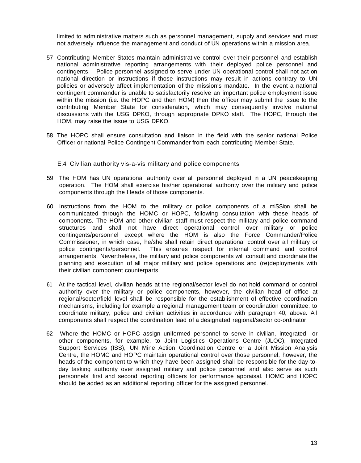limited to administrative matters such as personnel management, supply and services and must not adversely influence the management and conduct of UN operations within a mission area.

- 57 Contributing Member States maintain administrative control over their personnel and establish national administrative reporting arrangements with their deployed police personnel and contingents. Police personnel assigned to serve under UN operational control shall not act on national direction or instructions if those instructions may result in actions contrary to UN policies or adversely affect implementation of the mission's mandate. In the event a national contingent commander is unable to satisfactorily resolve an important police employment issue within the mission (i.e. the HOPC and then HOM) then the officer may submit the issue to the contributing Member State for consideration, which may consequently involve national discussions with the USG DPKO, through appropriate DPKO staff. The HOPC, through the HOM, may raise the issue to USG DPKO.
- 58 The HOPC shall ensure consultation and liaison in the field with the senior national Police Officer or national Police Contingent Commander from each contributing Member State.

E.4 Civilian authority vis-a-vis military and police components

- 59 The HOM has UN operational authority over all personnel deployed in a UN peacekeeping operation. The HOM shall exercise his/her operational authority over the military and police components through the Heads of those components.
- 60 Instructions from the HOM to the military or police components of a miSSion shall be communicated through the HOMC or HOPC, following consultation with these heads of components. The HOM and other civilian staff must respect the military and police command structures and shall not have direct operational control over military or police contingents/personnel except where the HOM is also the Force Commander/Police Commissioner, in which case, he/she shall retain direct operational control over all military or police contingents/personnel. This ensures respect for internal command and control arrangements. Nevertheless, the military and police components will consult and coordinate the planning and execution of all major military and police operations and (re)deployments with their civilian component counterparts.
- 61 At the tactical level, civilian heads at the regional/sector level do not hold command or control authority over the military or police components, however, the civilian head of office at regional/sector/field level shall be responsible for the establishment of effective coordination mechanisms, including for example a regional management team or coordination committee, to coordinate military, police and civilian activities in accordance with paragraph 40, above. All components shall respect the coordination lead of a designated regional/sector co-ordinator.
- 62 Where the HOMC or HOPC assign uniformed personnel to serve in civilian, integrated or other components, for example, to Joint Logistics Operations Centre (JLOC), Integrated Support Services (ISS), UN Mine Action Coordination Centre or a Joint Mission Analysis Centre, the HOMC and HOPC maintain operational control over those personnel, however, the heads of the component to which they have been assigned shall be responsible for the day-today tasking authority over assigned military and police personnel and also serve as such personnels' first and second reporting officers for performance appraisal. HOMC and HOPC should be added as an additional reporting officer for the assigned personnel.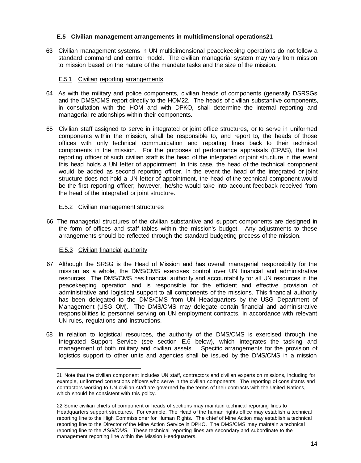## **E.5 Civilian management arrangements in multidimensional operations21**

63 Civilian management systems in UN multidimensional peacekeeping operations do not follow a standard command and control model. The civilian managerial system may vary from mission to mission based on the nature of the mandate tasks and the size of the mission.

## E.5.1 Civilian reporting arrangements

- 64 As with the military and police components, civilian heads of components (generally DSRSGs and the DMS/CMS report directly to the HOM22. The heads of civilian substantive components, in consultation with the HOM and with DPKO, shall determine the internal reporting and managerial relationships within their components.
- 65 Civilian staff assigned to serve in integrated or joint office structures, or to serve in uniformed components within the mission, shall be responsible to, and report to, the heads of those offices with only technical communication and reporting lines back to their technical components in the mission. For the purposes of performance appraisals (EPAS), the first reporting officer of such civilian staff is the head of the integrated or joint structure in the event this head holds a UN letter of appointment. In this case, the head of the technical component would be added as second reporting officer. In the event the head of the integrated or joint structure does not hold a UN letter of appointment, the head of the technical component would be the first reporting officer; however, he/she would take into account feedback received from the head of the integrated or joint structure.

### E.5.2 Civilian management structures

66 The managerial structures of the civilian substantive and support components are designed in the form of offices and staff tables within the mission's budget. Any adjustments to these arrangements should be reflected through the standard budgeting process of the mission.

## E.5.3 Civilian financial authority

- 67 Although the SRSG is the Head of Mission and has overall managerial responsibility for the mission as a whole, the DMS/CMS exercises control over UN financial and administrative resources. The DMS/CMS has financial authority and accountability for all UN resources in the peacekeeping operation and is responsible for the efficient and effective provision of administrative and logistical support to all components of the missions. This financial authority has been delegated to the DMS/CMS from UN Headquarters by the USG Department of Management (USG OM). The DMS/CMS may delegate certain financial and administrative responsibilities to personnel serving on UN employment contracts, in accordance with relevant UN rules, regulations and instructions.
- 68 In relation to logistical resources, the authority of the DMS/CMS is exercised through the Integrated Support Service (see section E.6 below), which integrates the tasking and management of both military and civilian assets. Specific arrangements for the provision of logistics support to other units and agencies shall be issued by the DMS/CMS in a mission

<sup>21</sup> Note that the civilian component includes UN staff, contractors and civilian experts on missions, including for example, uniformed corrections officers who serve in the civilian components. The reporting of consultants and contractors working to UN civilian staff are governed by the terms of their contracts with the United Nations, which should be consistent with this policy.

<sup>22</sup> Some civilian chiefs of component or heads of sections may maintain technical reporting lines to Headquarters support structures. For example, The Head of the human rights office may establish a technical reporting line to the High Commissioner for Human Rights. The chief of Mine Action may establish a technical reporting line to the Director of the Mine Action Service in DPKO. The DMS/CMS may maintain a technical reporting line to the ASG/OMS. These technical reporting lines are secondary and subordinate to the management reporting line within the Mission Headquarters.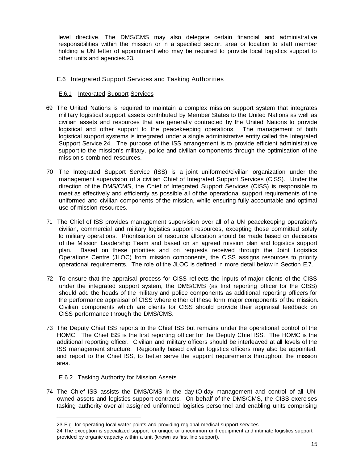level directive. The DMS/CMS may also delegate certain financial and administrative responsibilities within the mission or in a specified sector, area or location to staff member holding a UN letter of appointment who may be required to provide local logistics support to other units and agencies.23.

## E.6 Integrated Support Services and Tasking Authorities

## E.6.1 Integrated Support Services

- 69 The United Nations is required to maintain a complex mission support system that integrates military logistical support assets contributed by Member States to the United Nations as well as civilian assets and resources that are generally contracted by the United Nations to provide logistical and other support to the peacekeeping operations. The management of both logistical support systems is integrated under a single administrative entity called the Integrated Support Service.24. The purpose of the ISS arrangement is to provide efficient administrative support to the mission's military, police and civilian components through the optimisation of the mission's combined resources.
- 70 The Integrated Support Service (ISS) is a joint uniformed/civilian organization under the management supervision of a civilian Chief of Integrated Support Services (CISS). Under the direction of the DMS/CMS, the Chief of Integrated Support Services (CISS) is responsible to meet as effectively and efficiently as possible all of the operational support requirements of the uniformed and civilian components of the mission, while ensuring fully accountable and optimal use of mission resources.
- 71 The Chief of ISS provides management supervision over all of a UN peacekeeping operation's civilian, commercial and military logistics support resources, excepting those committed solely to military operations. Prioritisation of resource allocation should be made based on decisions of the Mission Leadership Team and based on an agreed mission plan and logistics support plan. Based on these priorities and on requests received through the Joint Logistics Operations Centre (JLOC) from mission components, the CISS assigns resources to priority operational requirements. The role of the JLOC is defined in more detail below in Section E.7.
- 72 To ensure that the appraisal process for CISS reflects the inputs of major clients of the CISS under the integrated support system, the DMS/CMS (as first reporting officer for the CISS) should add the heads of the military and police components as additional reporting officers for the performance appraisal of CISS where either of these form major components of the mission. Civilian components which are clients for CISS should provide their appraisal feedback on CISS performance through the DMS/CMS.
- 73 The Deputy Chief ISS reports to the Chief ISS but remains under the operational control of the HOMC. The Chief ISS is the first reporting officer for the Deputy Chief ISS. The HOMC is the additional reporting officer. Civilian and military officers should be interleaved at all levels of the ISS management structure. Regionally based civilian logistics officers may also be appointed, and report to the Chief ISS, to better serve the support requirements throughout the mission area.

## E.6.2 Tasking Authority for Mission Assets

74 The Chief ISS assists the DMS/CMS in the day-tO-day management and control of all UNowned assets and logistics support contracts. On behalf of the DMS/CMS, the CISS exercises tasking authority over all assigned uniformed logistics personnel and enabling units comprising

<sup>23</sup> E.g. for operating local water points and providing regional medical support services.

<sup>24</sup> The exception is specialized support for unique or uncommon unit equipment and intimate logistics support provided by organic capacity within a unit (known as first line support).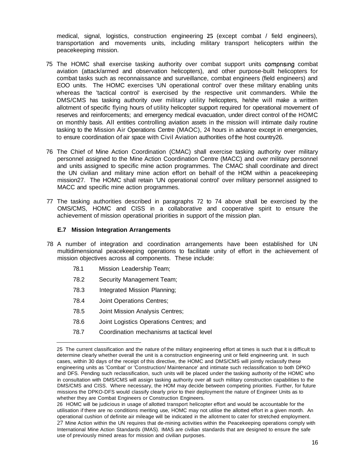medical, signal, logistics, construction engineering **25** (except combat / field engineers), transportation and movements units, including military transport helicopters within the peacekeeping mission.

- 75 The HOMC shall exercise tasking authority over combat support units comprising combat aviation (attack/armed and observation helicopters), and other purpose-built helicopters for combat tasks such as reconnaissance and surveillance, combat engineers (field engineers) and EOO units. The HOMC exercises 'UN operational control' over these military enabling units whereas the 'tactical control' is exercised by the respective unit commanders. While the DMS/CMS has tasking authority over military utility helicopters, he/she will make a written allotment of specific flying hours of utility helicopter support required for operational movement of reserves and reinforcements; and emergency medical evacuation, under direct control of the HOMC on monthly basis. All entities controlling aviation assets in the mission will intimate daily routine tasking to the Mission Air Operations Centre (MAOC), 24 hours in advance except in emergencies, to ensure coordination of air space with Civil Aviation authorities ofthe host country26.
- 76 The Chief of Mine Action Coordination (CMAC) shall exercise tasking authority over military personnel assigned to the Mine Action Coordination Centre (MACC) and over military personnel and units assigned to specific mine action programmes. The CMAC shall coordinate and direct the UN civilian and military mine action effort on behalf of the HOM within a peacekeeping mission27. The HOMC shall retain 'UN operational control' over military personnel assigned to MACC and specific mine action programmes.
- 77 The tasking authorities described in paragraphs 72 to 74 above shall be exercised by the OMS/CMS, HOMC and CISS in a collaborative and cooperative spirit to ensure the achievement of mission operational priorities in support of the mission plan.

## **E.7 Mission Integration Arrangements**

- 78 A number of integration and coordination arrangements have been established for UN multidimensional peacekeeping operations to facilitate unity of effort in the achievement of mission objectives across all components. These include:
	- 78.1 Mission Leadership Team;
	- 78.2 Security Management Team;
	- 78.3 Integrated Mission Planning;
	- 78.4 Joint Operations Centres;
	- 78.5 Joint Mission Analysis Centres;
	- 78.6 Joint Logistics Operations Centres; and
	- 78.7 Coordination mechanisms at tactical level

<sup>25</sup> The current classification and the nature of the military engineering effort at times is such that it is difficult to determine clearly whether overall the unit is a construction engineering unit or field engineering unit. In such cases, within 30 days of the receipt of this directive, the HOMC and DMS/CMS will jointly reclassify these engineering units as 'Combat' or 'Construction/ Maintenance' and intimate such reclassification to both DPKO and DFS. Pending such reclassification, such units will be placed under the tasking authority of the HOMC who in consultation with DMS/CMS will assign tasking authority over all such military construction capabilities to the DMS/CMS and CISS. Where necessary, the HOM may decide between competing priorities. Further, for future missions the DPKO-DFS would classify clearly prior to their deployment the nature of Engineer Units as to whether they are Combat Engineers or Construction Engineers.

<sup>26</sup> HOMC will be judicious in usage of allotted transport helicopter effort and would be accountable for the utilisation if there are no conditions meriting use, HOMC may not utilise the allotted effort in a given month. An operational cushion of definite air mileage will be indicated in the allotment to cater for stretched employment. 27 Mine Action within the UN requires that de-mining activities within the Peacekeeping operations comply with International Mine Action Standards (IMAS). IMAS are civilian standards that are designed to ensure the safe use of previously mined areas for mission and civilian purposes.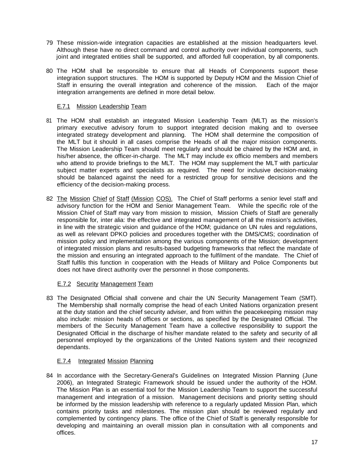- 79 These mission-wide integration capacities are established at the mission headquarters level. Although these have no direct command and control authority over individual components, such joint and integrated entities shall be supported, and afforded full cooperation, by all components.
- 80 The HOM shall be responsible to ensure that all Heads of Components support these integration support structures. The HOM is supported by Deputy HOM and the Mission Chief of Staff in ensuring the overall integration and coherence of the mission. Each of the major integration arrangements are defined in more detail below.

## E.7.1 Mission Leadership Team

- 81 The HOM shall establish an integrated Mission Leadership Team (MLT) as the mission's primary executive advisory forum to support integrated decision making and to oversee integrated strategy development and planning. The HOM shall determine the composition of the MLT but it should in all cases comprise the Heads of all the major mission components. The Mission Leadership Team should meet regularly and should be chaired by the HOM and, in his/her absence, the officer-in-charge. The MLT may include ex officio members and members who attend to provide briefings to the MLT. The HOM may supplement the MLT with particular subject matter experts and specialists as required. The need for inclusive decision-making should be balanced against the need for a restricted group for sensitive decisions and the efficiency of the decision-making process.
- 82 The Mission Chief of Staff (Mission COS). The Chief of Staff performs a senior level staff and advisory function for the HOM and Senior Management Team. While the specific role of the Mission Chief of Staff may vary from mission to mission, Mission Chiefs of Staff are generally responsible for, inter alia: the effective and integrated management of all the mission's activities, in line with the strategic vision and guidance of the HOM; guidance on UN rules and regulations, as well as relevant DPKO policies and procedures together with the DMS/CMS; coordination of mission policy and implementation among the various components of the Mission; development of integrated mission plans and results-based budgeting frameworks that reflect the mandate of the mission and ensuring an integrated approach to the fulfilment of the mandate. The Chief of Staff fulfils this function in cooperation with the Heads of Military and Police Components but does not have direct authority over the personnel in those components.

## E.7.2 Security Management Team

83 The Designated Official shall convene and chair the UN Security Management Team (SMT). The Membership shall normally comprise the head of each United Nations organization present at the duty station and the chief security adviser, and from within the peacekeeping mission may also include: mission heads of offices or sections, as specified by the Designated Official. The members of the Security Management Team have a collective responsibility to support the Designated Official in the discharge of his/her mandate related to the safety and security of all personnel employed by the organizations of the United Nations system and their recognized dependants.

# E.7.4 Integrated Mission Planning

84 In accordance with the Secretary-General's Guidelines on Integrated Mission Planning (June 2006), an Integrated Strategic Framework should be issued under the authority of the HOM. The Mission Plan is an essential tool for the Mission Leadership Team to support the successful management and integration of a mission. Management decisions and priority setting should be informed by the mission leadership with reference to a regularly updated Mission Plan, which contains priority tasks and milestones. The mission plan should be reviewed regularly and complemented by contingency plans. The office of the Chief of Staff is generally responsible for developing and maintaining an overall mission plan in consultation with all components and offices.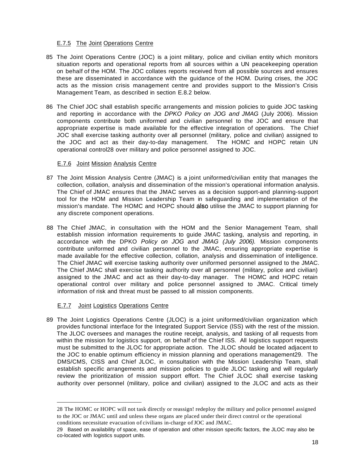## E.7.5 The Joint Operations Centre

- 85 The Joint Operations Centre (JOC) is a joint military, police and civilian entity which monitors situation reports and operational reports from all sources within a UN peacekeeping operation on behalf of the HOM. The JOC collates reports received from all possible sources and ensures these are disseminated in accordance with the guidance of the HOM. During crises, the JOC acts as the mission crisis management centre and provides support to the Mission's Crisis Management Team, as described in section E.8.2 below.
- 86 The Chief JOC shall establish specific arrangements and mission policies to guide JOC tasking and reporting in accordance with the DPKO Policy on JOG and JMAG (July 2006). Mission components contribute both uniformed and civilian personnel to the JOC and ensure that appropriate expertise is made available for the effective integration of operations. The Chief JOC shall exercise tasking authority over all personnel (military, police and civilian) assigned to the JOC and act as their day-to-day management. The HOMC and HOPC retain UN operational control28 over military and police personnel assigned to JOC.

## E.7.6 Joint Mission Analysis Centre

- 87 The Joint Mission Analysis Centre (JMAC) is a joint uniformed/civilian entity that manages the collection, collation, analysis and dissemination of the mission's operational information analysis. The Chief of JMAC ensures that the JMAC serves as a decision support-and planning-support tool for the HOM and Mission Leadership Team in safeguarding and implementation of the mission's mandate. The HOMC and HOPC should also utilise the JMAC to support planning for any discrete component operations.
- 88 The Chief JMAC, in consultation with the HOM and the Senior Management Team, shall establish mission information requirements to guide JMAC tasking, analysis and reporting, in accordance with the DPKO Policy on JOG and JMAG (July 2006). Mission components contribute uniformed and civilian personnel to the JMAC, ensuring appropriate expertise is made available for the effective collection, collation, analysis and dissemination of intelligence. The Chief JMAC will exercise tasking authority over uniformed personnel assigned to the JMAC. The Chief JMAC shall exercise tasking authority over all personnel (military, police and civilian) assigned to the JMAC and act as their day-to-day manager. The HOMC and HOPC retain operational control over military and police personnel assigned to JMAC. Critical timely information of risk and threat must be passed to all mission components.

# **E.7.7** Joint Logistics Operations Centre

89 The Joint Logistics Operations Centre (JLOC) is a joint uniformed/civilian organization which provides functional interface for the Integrated Support Service (lSS) with the rest of the mission. The JLOC oversees and manages the routine receipt, analysis, and tasking of all requests from within the mission for logistics support, on behalf of the Chief ISS. All logistics support requests must be submitted to the JLOC for appropriate action. The JLOC should be located adjacent to the JOC to enable optimum efficiency in mission planning and operations management29. The DMS/CMS, CISS and Chief JLOC, in consultation with the Mission Leadership Team, shall establish specific arrangements and mission policies to guide JLOC tasking and will regularly review the prioritization of mission support effort. The Chief JLOC shall exercise tasking authority over personnel (military, police and civilian) assigned to the JLOC and acts as their

<sup>28</sup> The HOMC or HOPC will not task directly or reassign! redeploy the military and police personnel assigned to the JOC or JMAC until and unless these organs are placed under their direct control or the operational conditions necessitate evacuation of civilians in-charge ofJOC and JMAC.

<sup>29</sup> Based on availability of space, ease of operation and other mission specific factors, the JLOC may also be co-located with logistics support units.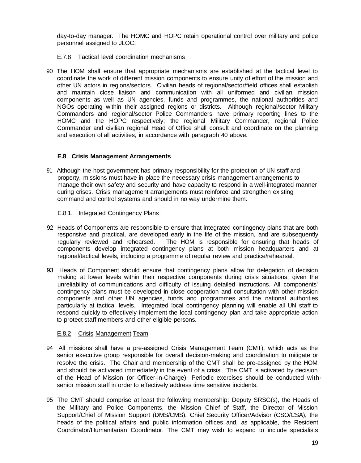day-to-day manager. The HOMC and HOPC retain operational control over military and police personnel assigned to JLOC.

## E.7.8 Tactical level coordination mechanisms

90 The HOM shall ensure that appropriate mechanisms are established at the tactical level to coordinate the work of different mission components to ensure unity of effort of the mission and other UN actors in regions/sectors. Civilian heads of regional/sector/field offices shall establish and maintain close liaison and communication with all uniformed and civilian mission components as well as UN agencies, funds and programmes, the national authorities and NGOs operating within their assigned regions or districts. Although regional/sector Military Commanders and regional/sector Police Commanders have primary reporting lines to the HOMC and the HOPC respectively; the regional Military Commander, regional Police Commander and civilian regional Head of Office shall consult and coordinate on the planning and execution of all activities, in accordance with paragraph 40 above.

## **E.8 Crisis Management Arrangements**

91 Although the host government has primary responsibility for the protection of UN staff and property, missions must have in place the necessary crisis management arrangements to manage their own safety and security and have capacity to respond in a well-integrated manner during crises. Crisis management arrangements must reinforce and strengthen existing command and control systems and should in no way undermine them.

## E.8.1. Integrated Contingency Plans

- 92 Heads of Components are responsible to ensure that integrated contingency plans that are both responsive and practical, are developed early in the life of the mission, and are subsequently regularly reviewed and rehearsed. The HOM is responsible for ensuring that heads of components develop integrated contingency plans at both mission headquarters and at regional/tactical levels, including a programme of regular review and practice/rehearsal.
- 93 Heads of Component should ensure that contingency plans allow for delegation of decision making at lower levels within their respective components during crisis situations, given the unreliability of communications and difficulty of issuing detailed instructions. All components' contingency plans must be developed in close cooperation and consultation with other mission components and other UN agencies, funds and programmes and the national authorities particularly at tactical levels. Integrated local contingency planning will enable all UN staff to respond quickly to effectively implement the local contingency plan and take appropriate action to protect staff members and other eligible persons.

## E.8.2 Crisis Management Team

- 94 All missions shall have a pre-assigned Crisis Management Team (CMT), which acts as the senior executive group responsible for overall decision-making and coordination to mitigate or resolve the crisis. The Chair and membership of the CMT shall be pre-assigned by the HOM and should be activated immediately in the event of a crisis. The CMT is activated by decision of the Head of Mission (or Officer-in-Charge). Periodic exercises should be conducted with· senior mission staff in order to effectively address time sensitive incidents.
- 95 The CMT should comprise at least the following membership: Deputy SRSG(s), the Heads of the Military and Police Components, the Mission Chief of Staff, the Director of Mission Support/Chief of Mission Support (DMS/CMS), Chief Security Officer/Advisor (CSO/CSA), the heads of the political affairs and public information offices and, as applicable, the Resident Coordinator/Humanitarian Coordinator. The CMT may wish to expand to include specialists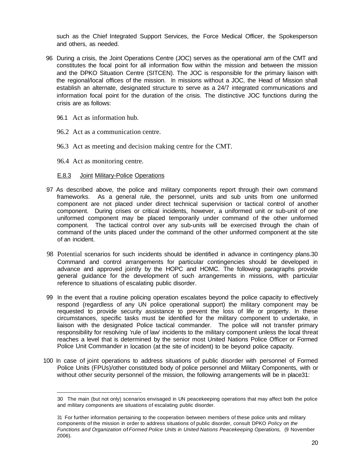such as the Chief Integrated Support Services, the Force Medical Officer, the Spokesperson and others, as needed.

- 96 During a crisis, the Joint Operations Centre (JOC) serves as the operational arm of the CMT and constitutes the focal point for all information flow within the mission and between the mission and the DPKO Situation Centre (SITCEN). The JOC is responsible for the primary liaison with the regional/local offices of the mission. In missions without a JOC, the Head of Mission shall establish an alternate, designated structure to serve as a 24/7 integrated communications and information focal point for the duration of the crisis. The distinctive JOC functions during the crisis are as follows:
	- 96.1 Act as information hub.
	- 96.2 Act as a communication centre.
	- 96.3 Act as meeting and decision making centre for the CMT.
	- 96.4 Act as monitoring centre.

## E.8.3 Joint Military-Police Operations

- 97 As described above, the police and military components report through their own command frameworks. As a general rule, the personnel, units and sub units from one uniformed component are not placed under direct technical supervision or tactical control of another component. During crises or critical incidents, however, a uniformed unit or sub-unit of one uniformed component may be placed temporarily under command of the other uniformed component. The tactical control over any sub-units will be exercised through the chain of command of the units placed under the command of the other uniformed component at the site of an incident.
- 98 Potential scenarios for such incidents should be identified in advance in contingency plans.30 Command and control arrangements for particular contingencies should be developed in advance and approved jointly by the HOPC and HOMC. The following paragraphs provide general guidance for the development of such arrangements in missions, with particular reference to situations of escalating public disorder.
- 99 In the event that a routine policing operation escalates beyond the police capacity to effectively respond (regardless of any UN police operational support) the military component may be requested to provide security assistance to prevent the loss of life or property. In these circumstances, specific tasks must be identified for the military component to undertake, in liaison with the designated Police tactical commander. The police will not transfer primary responsibility for resolving 'rule of law' incidents to the military component unless the local threat reaches a level that is determined by the senior most United Nations Police Officer or Formed Police Unit Commander in location (at the site of incident) to be beyond police capacity.
- 100 In case of joint operations to address situations of public disorder with personnel of Formed Police Units (FPUs)/other constituted body of police personnel and Military Components, with or without other security personnel of the mission, the following arrangements will be in place31:

<sup>30</sup> The main (but not only) scenarios envisaged in UN peacekeeping operations that may affect both the police and military components are situations of escalating public disorder.

<sup>31</sup> For further information pertaining to the cooperation between members of these police units and military components of the mission in order to address situations of public disorder, consult DPKO Policy on the Functions and Organization of Formed Police Units in United Nations Peacekeeping Operations, (9 November 2006).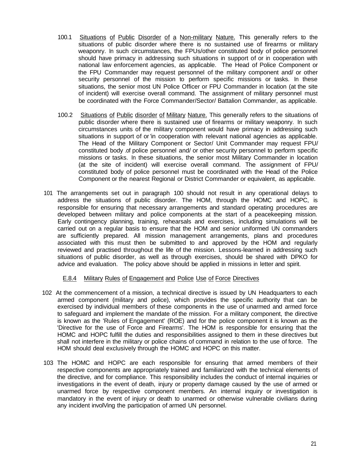- 100.1 Situations of Public Disorder of a Non-military Nature. This generally refers to the situations of public disorder where there is no sustained use of firearms or military weaponry. In such circumstances, the FPUs/other constituted body of police personnel should have primacy in addressing such situations in support of or in cooperation with national law enforcement agencies, as applicable. The Head of Police Component or the FPU Commander may request personnel of the military component and/ or other security personnel of the mission to perform specific missions or tasks. In these situations, the senior most UN Police Officer or FPU Commander in location (at the site of incident) will exercise overall command. The assignment of military personnel must be coordinated with the Force Commander/Sector/ Battalion Commander, as applicable.
- 100.2 Situations of Public disorder of Military Nature. This generally refers to the situations of public disorder where there is sustained use of firearms or military weaponry. In such circumstances units of the military component would have primacy in addressing such situations in support of or 'in cooperation with relevant national agencies as applicable. The Head of the Military Component or Sector/ Unit Commander may request FPU/ constituted body .of police personnel and/ or other security personnel to perform specific missions or tasks. In these situations, the senior most Military Commander in location (at the site of incident) will exercise overall command. The assignment of FPU/ constituted body of police personnel must be coordinated with the Head of the Police Component or the nearest Regional or District Commander or equivalent, as applicable.
- 101 The arrangements set out in paragraph 100 should not result in any operational delays to address the situations of public disorder. The HOM, through the HOMC and HOPC, is responsible for ensuring that necessary arrangements and standard operating procedures are developed between military and police components at the start of a peacekeeping mission. Early contingency planning, training, rehearsals and exercises, including simulations will be carried out on a regular basis to ensure that the HOM and senior uniformed UN commanders are sufficiently prepared. All mission management arrangements, plans and procedures associated with this must then be submitted to and approved by the HOM and regularly reviewed and practised throughout the life of the mission. Lessons-learned in addressing such situations of public disorder, as well as through exercises, should be shared with DPKO for advice and evaluation. The policy above should be applied in missions in letter and spirit.

## E.8.4 Military Rules of Engagement and Police Use of Force Directives

- 102 At the commencement of a mission, a technical directive is issued by UN Headquarters to each armed component (military and police), which provides the specific authority that can be exercised by individual members of these components in the use of unarmed and armed force to safeguard and implement the mandate of the mission. For a military component, the directive is known as the 'Rules of Engagement' (ROE) and for the police component it is known as the 'Directive for the use of Force and Firearms'. The HOM is responsible for ensuring that the HOMC and HOPC fulfill the duties and responsibilities assigned to them in these directives but shall not interfere in the military or police chains of command in relation to the use of force. The HOM should deal exclusively through the HOMC and HOPC on this matter.
- 103 The HOMC and HOPC are each responsible for ensuring that armed members of their respective components are appropriately trained and familiarized with the technical elements of the directive, and for compliance. This responsibility includes the conduct of internal inquiries or investigations in the event of death, injury or property damage caused by the use of armed or unarmed force by respective component members. An internal inquiry or investigation is mandatory in the event of injury or death to unarmed or otherwise vulnerable civilians during any incident involVing the participation of armed UN personnel.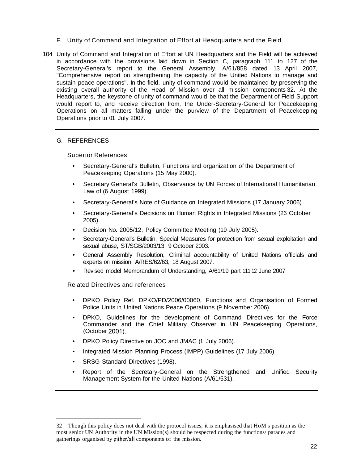- F. Unity of Command and Integration of Effort at Headquarters and the Field
- 104 Unity of Command and Integration of Effort at UN Headquarters and the Field will be achieved in accordance with the provisions laid down in Section C, paragraph 111 to 127 of the Secretary-General's report to the General Assembly, A/61/858 dated 13 April 2007, "Comprehensive report on strengthening the capacity of the United Nations to manage and sustain peace operations". In the field, unity of command would be maintained by preserving the existing overall authority of the Head of Mission over all mission components 32. At the Headquarters, the keystone of unity of command would be that the Department of Field Support would report to, and receive direction from, the Under-Secretary-General for Peacekeeping Operations on all matters falling under the purview of the Department of Peacekeeping Operations prior to 01 July 2007.

### G. REFERENCES

### Superior References

- Secretary-General's Bulletin, Functions and organization of the Department of Peacekeeping Operations (15 May 2000).
- Secretary General's Bulletin, Observance by UN Forces of International Humanitarian Law of (6 August 1999).
- Secretary-General's Note of Guidance on Integrated Missions (17 January 2006).
- Secretary-General's Decisions on Human Rights in Integrated Missions (26 October 2005).
- Decision No. 2005/12, Policy Committee Meeting (19 July 2005).
- Secretary-General's Bulletin, Special Measures for protection from sexual exploitation and sexual abuse, ST/SGB/2003/13, 9 October 2003.
- General Assembly Resolution, Criminal accountability of United Nations officials and experts on mission, A/RES/62/63, 18 August 2007.
- Revised model Memorandum of Understanding, A/61/19 part 111,12 June 2007

Related Directives and references

- DPKO Policy Ref. DPKO/PD/2006/00060, Functions and Organisation of Formed Police Units in United Nations Peace Operations (9 November 2006).
- DPKO, Guidelines for the development of Command Directives for the Force Commander and the Chief Military Observer in UN Peacekeeping Operations, (October 2001):
- DPKO Policy Directive on JOC and JMAC (1 July 2006).
- Integrated Mission Planning Process (IMPP) Guidelines (17 July 2006).
- SRSG Standard Directives (1998).
- Report of the Secretary-General on the Strengthened and Unified Security Management System for the United Nations (A/61/531).

<sup>32</sup> Though this policy does not deal with the protocol issues, it is emphasised that HoM's position as the most senior UN Authority in the UN Mission(s) should be respected during the functions/ parades and gatherings organised by either/all components of the mission.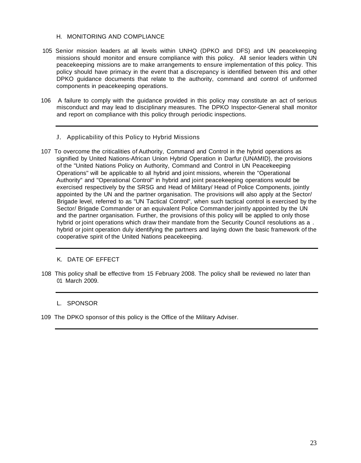## H. MONITORING AND COMPLIANCE

- 105 Senior mission leaders at all levels within UNHQ (DPKO and DFS) and UN peacekeeping missions should monitor and ensure compliance with this policy. All senior leaders within UN peacekeeping missions are to make arrangements to ensure implementation of this policy. This policy should have primacy in the event that a discrepancy is identified between this and other DPKO guidance documents that relate to the authority, command and control of uniformed components in peacekeeping operations.
- 106 A failure to comply with the guidance provided in this policy may constitute an act of serious misconduct and may lead to disciplinary measures. The DPKO Inspector-General shall monitor and report on compliance with this policy through periodic inspections.
	- J. Applicability of this Policy to Hybrid Missions
- 107 To overcome the criticalities of Authority, Command and Control in the hybrid operations as signified by United Nations-African Union Hybrid Operation in Darfur (UNAMID), the provisions of the "United Nations Policy on Authority, Command and Control in UN Peacekeeping Operations" will be applicable to all hybrid and joint missions, wherein the "Operational Authority" and "Operational Control" in hybrid and joint peacekeeping operations would be exercised respectively by the SRSG and Head of Military/ Head of Police Components, jointly appointed by the UN and the partner organisation. The provisions will also apply at the Sector/ Brigade level, referred to as "UN Tactical Control", when such tactical control is exercised by the Sector/ Brigade Commander or an equivalent Police Commander jointly appointed by the UN and the partner organisation. Further, the provisions of this policy will be applied to only those hybrid or joint operations which draw their mandate from the Security Council resolutions as a . hybrid or joint operation duly identifying the partners and laying down the basic framework of the cooperative spirit of the United Nations peacekeeping.

## K. DATE OF EFFECT

108 This policy shall be effective from 15 February 2008. The policy shall be reviewed no later than 01 March 2009.

## L. SPONSOR

109 The DPKO sponsor of this policy is the Office of the Military Adviser.